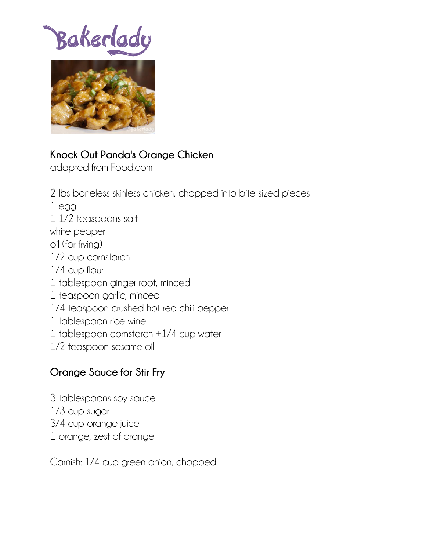Bakerlady



## **Knock Out Panda's Orange Chicken**

adapted from Food.com

2 lbs boneless skinless chicken, chopped into bite sized pieces 1 egg 1 1/2 teaspoons salt white pepper oil (for frying) 1/2 cup cornstarch 1/4 cup flour 1 tablespoon ginger root, minced 1 teaspoon garlic, minced 1/4 teaspoon crushed hot red chili pepper 1 tablespoon rice wine 1 tablespoon cornstarch +1/4 cup water 1/2 teaspoon sesame oil

## **Orange Sauce for Stir Fry**

3 tablespoons soy sauce 1/3 cup sugar 3/4 cup orange juice 1 orange, zest of orange

Garnish: 1/4 cup green onion, chopped